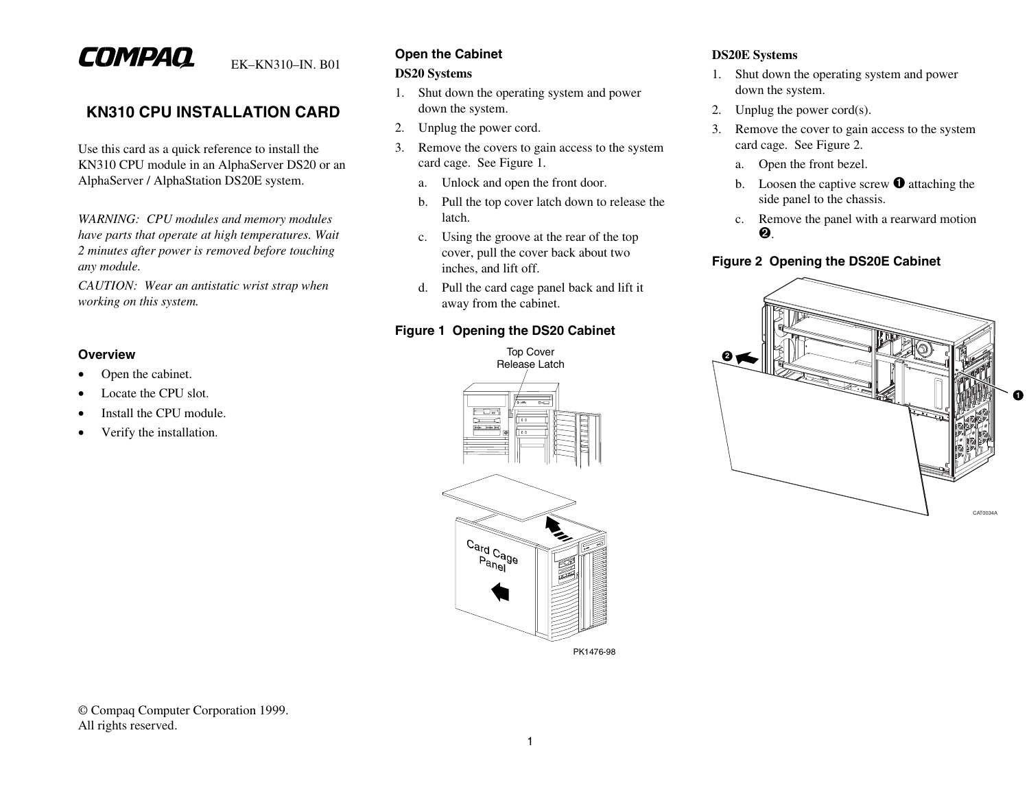# COMPAQ

EK–KN310–IN. B01

## **KN310 CPU INSTALLATION CARD**

Use this card as a quick reference to install the KN310 CPU module in an AlphaServer DS20 or an AlphaServer / AlphaStation DS20E system.

*WARNING: CPU modules and memory modules have parts that operate at high temperatures. Wait 2 minutes after power is removed before touching any module.*

*CAUTION: Wear an antistatic wrist strap when working on this system.*

#### **Overview**

- •Open the cabinet.
- •Locate the CPU slot.
- •Install the CPU module.
- •Verify the installation.

## **Open the Cabinet**

#### **DS20 Systems**

- 1. Shut down the operating system and power down the system.
- 2. Unplug the power cord.
- 3. Remove the covers to gain access to the system card cage. See Figure 1.
	- a.Unlock and open the front door.
	- b. Pull the top cover latch down to release the latch.
	- c. Using the groove at the rear of the top cover, pull the cover back about two inches, and lift off.
	- d. Pull the card cage panel back and lift it away from the cabinet.

#### **Figure 1 Opening the DS20 Cabinet**



#### **DS20E Systems**

- 1. Shut down the operating system and power down the system.
- 2.Unplug the power cord(s).
- 3. Remove the cover to gain access to the system card cage. See Figure 2.
	- a. Open the front bezel.
	- b. Loosen the captive screw  $\bullet$  attaching the side panel to the chassis.
	- c. Remove the panel with a rearward motion ➋.

## **Figure 2 Opening the DS20E Cabinet**



© Compaq Computer Corporation 1999. All rights reserved.